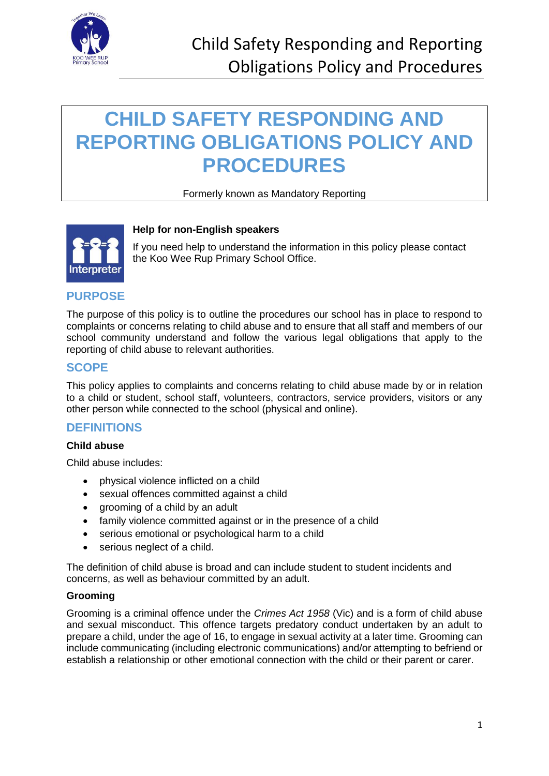

# **CHILD SAFETY RESPONDING AND REPORTING OBLIGATIONS POLICY AND PROCEDURES**

### Formerly known as Mandatory Reporting



### **Help for non-English speakers**

If you need help to understand the information in this policy please contact the Koo Wee Rup Primary School Office.

### **PURPOSE**

The purpose of this policy is to outline the procedures our school has in place to respond to complaints or concerns relating to child abuse and to ensure that all staff and members of our school community understand and follow the various legal obligations that apply to the reporting of child abuse to relevant authorities.

### **SCOPE**

This policy applies to complaints and concerns relating to child abuse made by or in relation to a child or student, school staff, volunteers, contractors, service providers, visitors or any other person while connected to the school (physical and online).

### **DEFINITIONS**

#### **Child abuse**

Child abuse includes:

- physical violence inflicted on a child
- sexual offences committed against a child
- grooming of a child by an adult
- family violence committed against or in the presence of a child
- serious emotional or psychological harm to a child
- serious neglect of a child.

The definition of child abuse is broad and can include student to student incidents and concerns, as well as behaviour committed by an adult.

#### **Grooming**

Grooming is a criminal offence under the *Crimes Act 1958* (Vic) and is a form of child abuse and sexual misconduct. This offence targets predatory conduct undertaken by an adult to prepare a child, under the age of 16, to engage in sexual activity at a later time. Grooming can include communicating (including electronic communications) and/or attempting to befriend or establish a relationship or other emotional connection with the child or their parent or carer.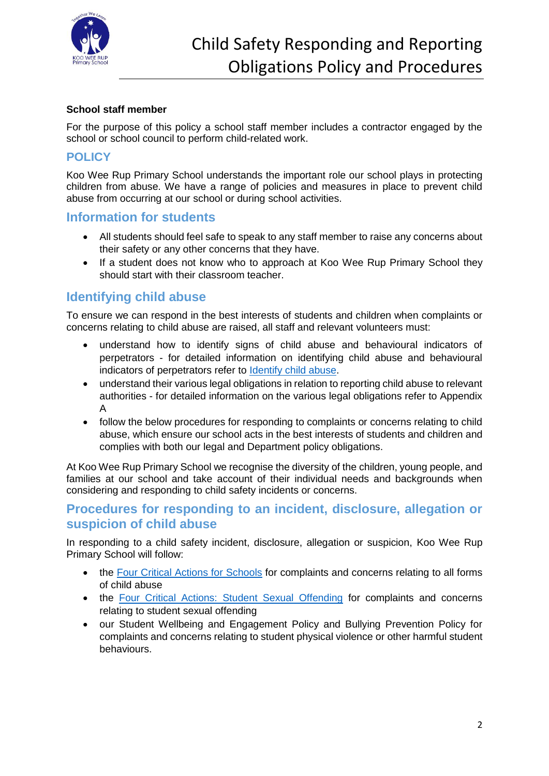

### **School staff member**

For the purpose of this policy a school staff member includes a contractor engaged by the school or school council to perform child-related work.

### **POLICY**

Koo Wee Rup Primary School understands the important role our school plays in protecting children from abuse. We have a range of policies and measures in place to prevent child abuse from occurring at our school or during school activities.

### **Information for students**

- All students should feel safe to speak to any staff member to raise any concerns about their safety or any other concerns that they have.
- If a student does not know who to approach at Koo Wee Rup Primary School they should start with their classroom teacher.

### **Identifying child abuse**

To ensure we can respond in the best interests of students and children when complaints or concerns relating to child abuse are raised, all staff and relevant volunteers must:

- understand how to identify signs of child abuse and behavioural indicators of perpetrators - for detailed information on identifying child abuse and behavioural indicators of perpetrators refer to [Identify child abuse.](https://www.education.vic.gov.au/school/teachers/health/childprotection/Pages/identify.aspx)
- understand their various legal obligations in relation to reporting child abuse to relevant authorities - for detailed information on the various legal obligations refer to Appendix A
- follow the below procedures for responding to complaints or concerns relating to child abuse, which ensure our school acts in the best interests of students and children and complies with both our legal and Department policy obligations.

At Koo Wee Rup Primary School we recognise the diversity of the children, young people, and families at our school and take account of their individual needs and backgrounds when considering and responding to child safety incidents or concerns.

### **Procedures for responding to an incident, disclosure, allegation or suspicion of child abuse**

In responding to a child safety incident, disclosure, allegation or suspicion, Koo Wee Rup Primary School will follow:

- the [Four Critical Actions for Schools](https://www.education.vic.gov.au/Documents/about/programs/health/protect/FourCriticalActions_ChildAbuse.pdf) for complaints and concerns relating to all forms of child abuse
- the [Four Critical Actions: Student Sexual Offending](https://www.education.vic.gov.au/school/teachers/health/childprotection/Pages/stusexual.aspx) for complaints and concerns relating to student sexual offending
- our Student Wellbeing and Engagement Policy and Bullying Prevention Policy for complaints and concerns relating to student physical violence or other harmful student behaviours.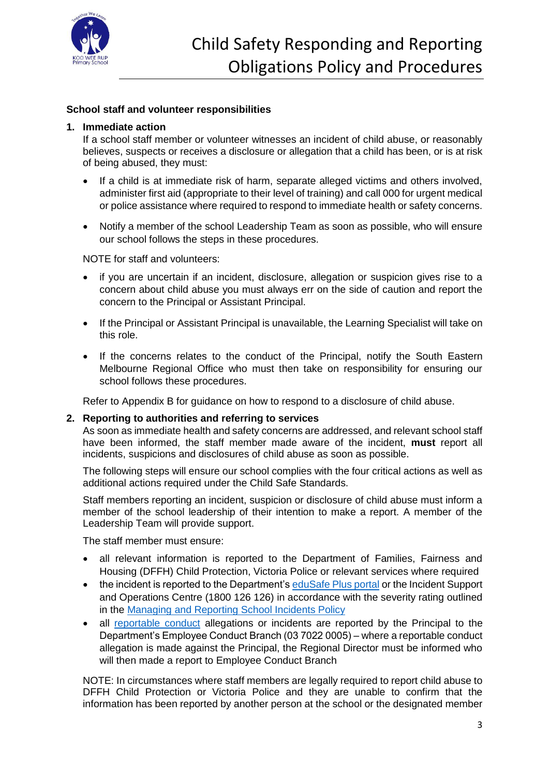

### **School staff and volunteer responsibilities**

#### **1. Immediate action**

If a school staff member or volunteer witnesses an incident of child abuse, or reasonably believes, suspects or receives a disclosure or allegation that a child has been, or is at risk of being abused, they must:

- If a child is at immediate risk of harm, separate alleged victims and others involved, administer first aid (appropriate to their level of training) and call 000 for urgent medical or police assistance where required to respond to immediate health or safety concerns.
- Notify a member of the school Leadership Team as soon as possible, who will ensure our school follows the steps in these procedures.

NOTE for staff and volunteers:

- if you are uncertain if an incident, disclosure, allegation or suspicion gives rise to a concern about child abuse you must always err on the side of caution and report the concern to the Principal or Assistant Principal.
- If the Principal or Assistant Principal is unavailable, the Learning Specialist will take on this role.
- If the concerns relates to the conduct of the Principal, notify the South Eastern Melbourne Regional Office who must then take on responsibility for ensuring our school follows these procedures.

Refer to Appendix B for guidance on how to respond to a disclosure of child abuse.

#### **2. Reporting to authorities and referring to services**

As soon as immediate health and safety concerns are addressed, and relevant school staff have been informed, the staff member made aware of the incident, **must** report all incidents, suspicions and disclosures of child abuse as soon as possible.

The following steps will ensure our school complies with the four critical actions as well as additional actions required under the Child Safe Standards.

Staff members reporting an incident, suspicion or disclosure of child abuse must inform a member of the school leadership of their intention to make a report. A member of the Leadership Team will provide support.

The staff member must ensure:

- all relevant information is reported to the Department of Families, Fairness and Housing (DFFH) Child Protection, Victoria Police or relevant services where required
- the incident is reported to the Department's [eduSafe Plus portal](https://services.educationapps.vic.gov.au/edusafeplus) or the Incident Support and Operations Centre (1800 126 126) in accordance with the severity rating outlined in the [Managing and Reporting School Incidents Policy](https://www2.education.vic.gov.au/pal/reporting-and-managing-school-incidents-including-emergencies/policy)
- all [reportable conduct](https://www2.education.vic.gov.au/pal/reportable-conduct-scheme/policy) allegations or incidents are reported by the Principal to the Department's Employee Conduct Branch (03 7022 0005) – where a reportable conduct allegation is made against the Principal, the Regional Director must be informed who will then made a report to Employee Conduct Branch

NOTE: In circumstances where staff members are legally required to report child abuse to DFFH Child Protection or Victoria Police and they are unable to confirm that the information has been reported by another person at the school or the designated member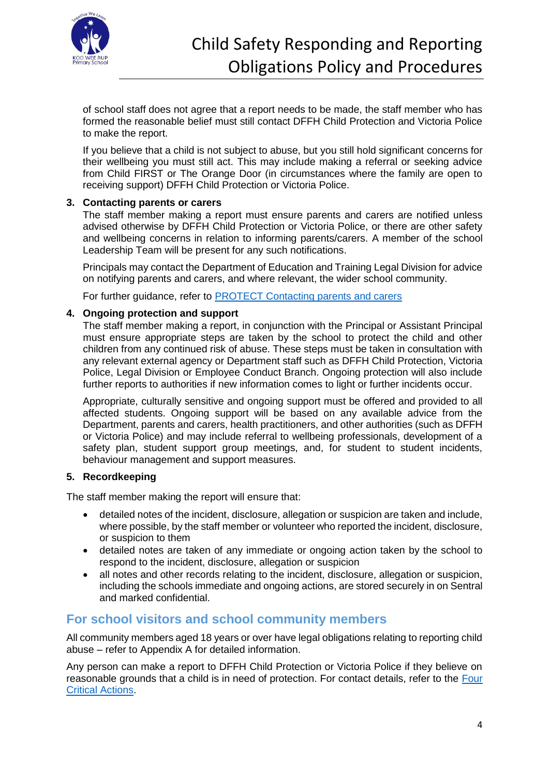

of school staff does not agree that a report needs to be made, the staff member who has formed the reasonable belief must still contact DFFH Child Protection and Victoria Police to make the report.

If you believe that a child is not subject to abuse, but you still hold significant concerns for their wellbeing you must still act. This may include making a referral or seeking advice from Child FIRST or The Orange Door (in circumstances where the family are open to receiving support) DFFH Child Protection or Victoria Police.

### **3. Contacting parents or carers**

The staff member making a report must ensure parents and carers are notified unless advised otherwise by DFFH Child Protection or Victoria Police, or there are other safety and wellbeing concerns in relation to informing parents/carers. A member of the school Leadership Team will be present for any such notifications.

Principals may contact the Department of Education and Training Legal Division for advice on notifying parents and carers, and where relevant, the wider school community.

For further guidance, refer to **PROTECT** Contacting parents and carers

#### **4. Ongoing protection and support**

The staff member making a report, in conjunction with the Principal or Assistant Principal must ensure appropriate steps are taken by the school to protect the child and other children from any continued risk of abuse. These steps must be taken in consultation with any relevant external agency or Department staff such as DFFH Child Protection, Victoria Police, Legal Division or Employee Conduct Branch. Ongoing protection will also include further reports to authorities if new information comes to light or further incidents occur.

Appropriate, culturally sensitive and ongoing support must be offered and provided to all affected students. Ongoing support will be based on any available advice from the Department, parents and carers, health practitioners, and other authorities (such as DFFH or Victoria Police) and may include referral to wellbeing professionals, development of a safety plan, student support group meetings, and, for student to student incidents, behaviour management and support measures.

#### **5. Recordkeeping**

The staff member making the report will ensure that:

- detailed notes of the incident, disclosure, allegation or suspicion are taken and include, where possible, by the staff member or volunteer who reported the incident, disclosure, or suspicion to them
- detailed notes are taken of any immediate or ongoing action taken by the school to respond to the incident, disclosure, allegation or suspicion
- all notes and other records relating to the incident, disclosure, allegation or suspicion, including the schools immediate and ongoing actions, are stored securely in on Sentral and marked confidential.

### **For school visitors and school community members**

All community members aged 18 years or over have legal obligations relating to reporting child abuse – refer to Appendix A for detailed information.

Any person can make a report to DFFH Child Protection or Victoria Police if they believe on reasonable grounds that a child is in need of protection. For contact details, refer to the [Four](https://www.education.vic.gov.au/Documents/about/programs/health/protect/FourCriticalActions_ChildAbuse.pdf)  [Critical Actions.](https://www.education.vic.gov.au/Documents/about/programs/health/protect/FourCriticalActions_ChildAbuse.pdf)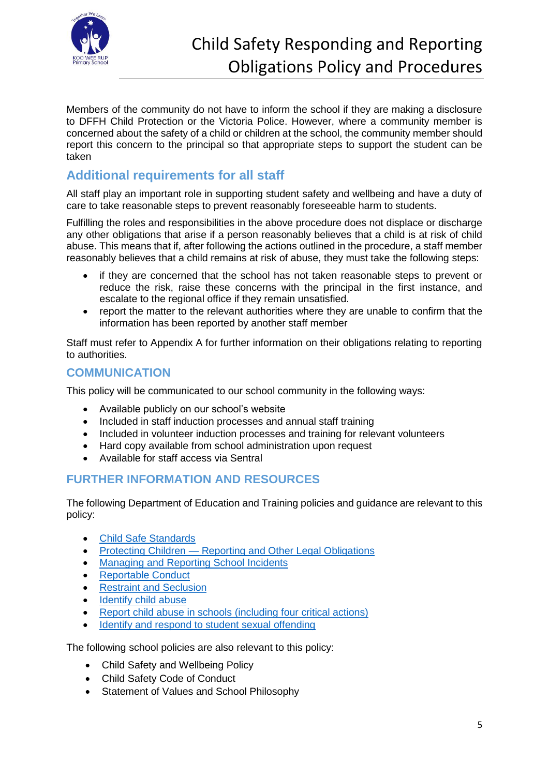

Members of the community do not have to inform the school if they are making a disclosure to DFFH Child Protection or the Victoria Police. However, where a community member is concerned about the safety of a child or children at the school, the community member should report this concern to the principal so that appropriate steps to support the student can be taken

# **Additional requirements for all staff**

All staff play an important role in supporting student safety and wellbeing and have a duty of care to take reasonable steps to prevent reasonably foreseeable harm to students.

Fulfilling the roles and responsibilities in the above procedure does not displace or discharge any other obligations that arise if a person reasonably believes that a child is at risk of child abuse. This means that if, after following the actions outlined in the procedure, a staff member reasonably believes that a child remains at risk of abuse, they must take the following steps:

- if they are concerned that the school has not taken reasonable steps to prevent or reduce the risk, raise these concerns with the principal in the first instance, and escalate to the regional office if they remain unsatisfied.
- report the matter to the relevant authorities where they are unable to confirm that the information has been reported by another staff member

Staff must refer to Appendix A for further information on their obligations relating to reporting to authorities.

### **COMMUNICATION**

This policy will be communicated to our school community in the following ways:

- Available publicly on our school's website
- Included in staff induction processes and annual staff training
- Included in volunteer induction processes and training for relevant volunteers
- Hard copy available from school administration upon request
- Available for staff access via Sentral

### **FURTHER INFORMATION AND RESOURCES**

The following Department of Education and Training policies and guidance are relevant to this policy:

- [Child Safe Standards](https://www2.education.vic.gov.au/pal/child-safe-standards/policy)
- Protecting Children [Reporting and Other Legal Obligations](https://www2.education.vic.gov.au/pal/protecting-children/policy)
- [Managing and Reporting School Incidents](https://www2.education.vic.gov.au/pal/reporting-and-managing-school-incidents-including-emergencies/policy)
- [Reportable Conduct](https://www2.education.vic.gov.au/pal/reportable-conduct-scheme/policy)
- [Restraint and Seclusion](https://www2.education.vic.gov.au/pal/restraint-seclusion/policy)
- [Identify child abuse](https://www.education.vic.gov.au/school/teachers/health/childprotection/Pages/identify.aspx)
- [Report child abuse in schools \(including four critical actions\)](https://www.education.vic.gov.au/school/teachers/health/childprotection/Pages/report.aspx)
- [Identify and respond to student sexual offending](https://www.education.vic.gov.au/school/teachers/health/childprotection/Pages/stusexual.aspx)

The following school policies are also relevant to this policy:

- Child Safety and Wellbeing Policy
- Child Safety Code of Conduct
- Statement of Values and School Philosophy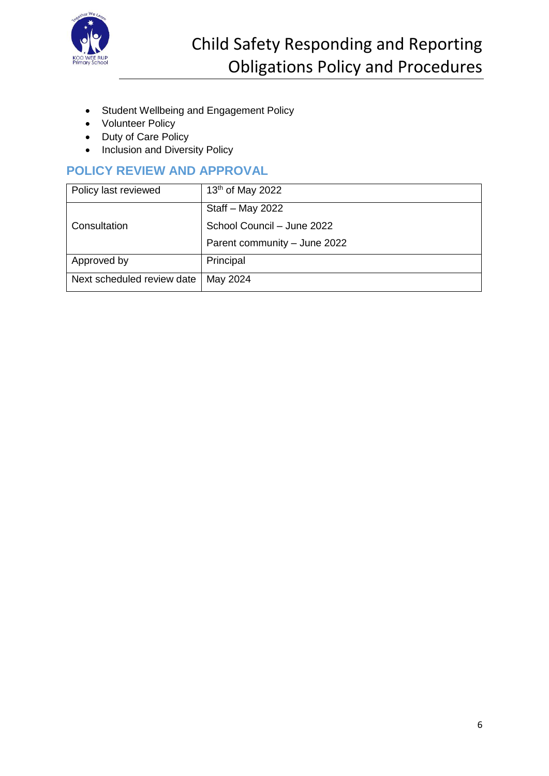

- Student Wellbeing and Engagement Policy
- Volunteer Policy
- Duty of Care Policy
- Inclusion and Diversity Policy

# **POLICY REVIEW AND APPROVAL**

| Policy last reviewed       | 13 <sup>th</sup> of May 2022 |
|----------------------------|------------------------------|
| Consultation               | Staff - May 2022             |
|                            | School Council - June 2022   |
|                            | Parent community - June 2022 |
| Approved by                | Principal                    |
| Next scheduled review date | May 2024                     |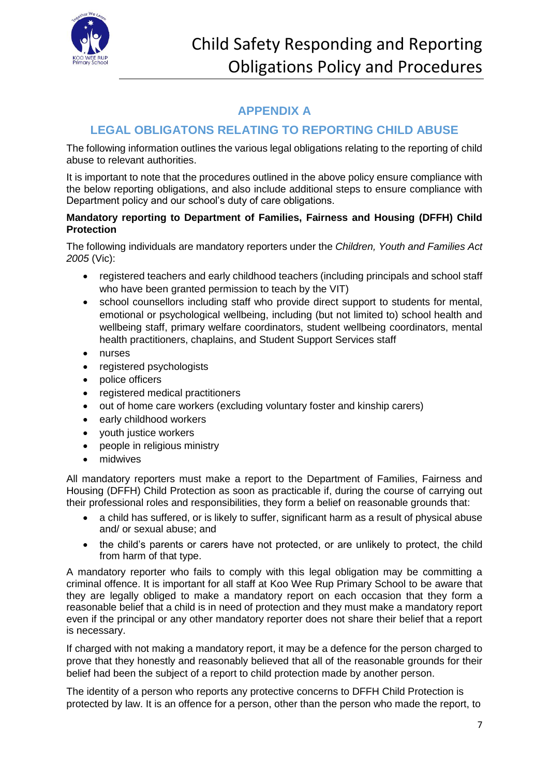

## **APPENDIX A**

# **LEGAL OBLIGATONS RELATING TO REPORTING CHILD ABUSE**

The following information outlines the various legal obligations relating to the reporting of child abuse to relevant authorities.

It is important to note that the procedures outlined in the above policy ensure compliance with the below reporting obligations, and also include additional steps to ensure compliance with Department policy and our school's duty of care obligations.

### **Mandatory reporting to Department of Families, Fairness and Housing (DFFH) Child Protection**

The following individuals are mandatory reporters under the *Children, Youth and Families Act 2005* (Vic):

- registered teachers and early childhood teachers (including principals and school staff who have been granted permission to teach by the VIT)
- school counsellors including staff who provide direct support to students for mental, emotional or psychological wellbeing, including (but not limited to) school health and wellbeing staff, primary welfare coordinators, student wellbeing coordinators, mental health practitioners, chaplains, and Student Support Services staff
- nurses
- registered psychologists
- police officers
- registered medical practitioners
- out of home care workers (excluding voluntary foster and kinship carers)
- early childhood workers
- youth justice workers
- people in religious ministry
- midwives

All mandatory reporters must make a report to the Department of Families, Fairness and Housing (DFFH) Child Protection as soon as practicable if, during the course of carrying out their professional roles and responsibilities, they form a belief on reasonable grounds that:

- a child has suffered, or is likely to suffer, significant harm as a result of physical abuse and/ or sexual abuse; and
- the child's parents or carers have not protected, or are unlikely to protect, the child from harm of that type.

A mandatory reporter who fails to comply with this legal obligation may be committing a criminal offence. It is important for all staff at Koo Wee Rup Primary School to be aware that they are legally obliged to make a mandatory report on each occasion that they form a reasonable belief that a child is in need of protection and they must make a mandatory report even if the principal or any other mandatory reporter does not share their belief that a report is necessary.

If charged with not making a mandatory report, it may be a defence for the person charged to prove that they honestly and reasonably believed that all of the reasonable grounds for their belief had been the subject of a report to child protection made by another person.

The identity of a person who reports any protective concerns to DFFH Child Protection is protected by law. It is an offence for a person, other than the person who made the report, to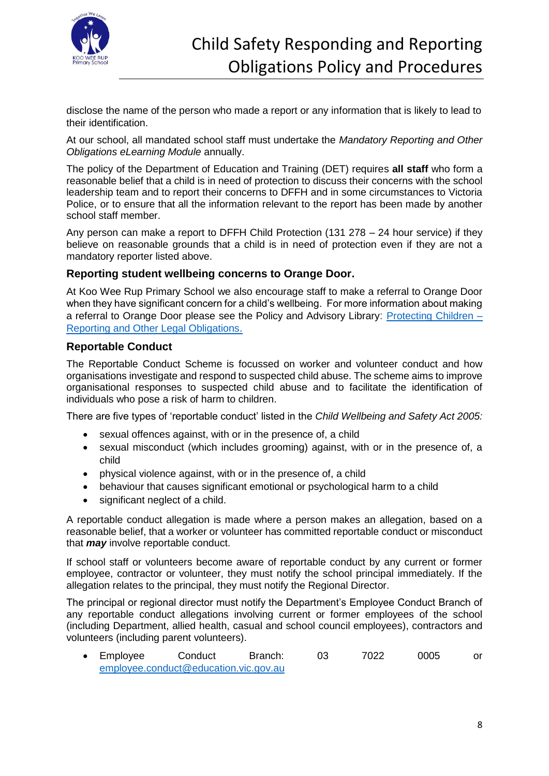

disclose the name of the person who made a report or any information that is likely to lead to their identification.

At our school, all mandated school staff must undertake the *Mandatory Reporting and Other Obligations eLearning Module* annually.

The policy of the Department of Education and Training (DET) requires **all staff** who form a reasonable belief that a child is in need of protection to discuss their concerns with the school leadership team and to report their concerns to DFFH and in some circumstances to Victoria Police, or to ensure that all the information relevant to the report has been made by another school staff member.

Any person can make a report to DFFH Child Protection (131 278 – 24 hour service) if they believe on reasonable grounds that a child is in need of protection even if they are not a mandatory reporter listed above.

### **Reporting student wellbeing concerns to Orange Door.**

At Koo Wee Rup Primary School we also encourage staff to make a referral to Orange Door when they have significant concern for a child's wellbeing. For more information about making a referral to Orange Door please see the Policy and Advisory Library: [Protecting Children –](https://www2.education.vic.gov.au/pal/protecting-children/policy) [Reporting and Other Legal Obligations](https://www2.education.vic.gov.au/pal/protecting-children/policy).

### **Reportable Conduct**

The Reportable Conduct Scheme is focussed on worker and volunteer conduct and how organisations investigate and respond to suspected child abuse. The scheme aims to improve organisational responses to suspected child abuse and to facilitate the identification of individuals who pose a risk of harm to children.

There are five types of 'reportable conduct' listed in the *Child Wellbeing and Safety Act 2005:*

- sexual offences against, with or in the presence of, a child
- sexual misconduct (which includes grooming) against, with or in the presence of, a child
- physical violence against, with or in the presence of, a child
- behaviour that causes significant emotional or psychological harm to a child
- significant neglect of a child.

A reportable conduct allegation is made where a person makes an allegation, based on a reasonable belief, that a worker or volunteer has committed reportable conduct or misconduct that *may* involve reportable conduct.

If school staff or volunteers become aware of reportable conduct by any current or former employee, contractor or volunteer, they must notify the school principal immediately. If the allegation relates to the principal, they must notify the Regional Director.

The principal or regional director must notify the Department's Employee Conduct Branch of any reportable conduct allegations involving current or former employees of the school (including Department, allied health, casual and school council employees), contractors and volunteers (including parent volunteers).

• Employee Conduct Branch: 03 7022 0005 or [employee.conduct@education.vic.gov.au](mailto:employee.conduct@education.vic.gov.au)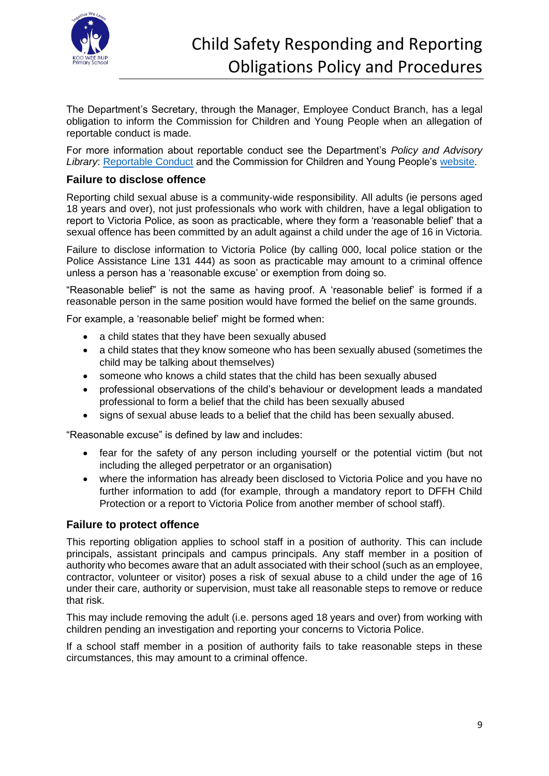

The Department's Secretary, through the Manager, Employee Conduct Branch, has a legal obligation to inform the Commission for Children and Young People when an allegation of reportable conduct is made.

For more information about reportable conduct see the Department's *Policy and Advisory Library*: [Reportable Conduct](https://www2.education.vic.gov.au/pal/reportable-conduct-scheme/policy) and the Commission for Children and Young People's [website.](https://ccyp.vic.gov.au/reportable-conduct-scheme/)

### **Failure to disclose offence**

Reporting child sexual abuse is a community-wide responsibility. All adults (ie persons aged 18 years and over), not just professionals who work with children, have a legal obligation to report to Victoria Police, as soon as practicable, where they form a 'reasonable belief' that a sexual offence has been committed by an adult against a child under the age of 16 in Victoria.

Failure to disclose information to Victoria Police (by calling 000, local police station or the Police Assistance Line 131 444) as soon as practicable may amount to a criminal offence unless a person has a 'reasonable excuse' or exemption from doing so.

"Reasonable belief" is not the same as having proof. A 'reasonable belief' is formed if a reasonable person in the same position would have formed the belief on the same grounds.

For example, a 'reasonable belief' might be formed when:

- a child states that they have been sexually abused
- a child states that they know someone who has been sexually abused (sometimes the child may be talking about themselves)
- someone who knows a child states that the child has been sexually abused
- professional observations of the child's behaviour or development leads a mandated professional to form a belief that the child has been sexually abused
- signs of sexual abuse leads to a belief that the child has been sexually abused.

"Reasonable excuse" is defined by law and includes:

- fear for the safety of any person including yourself or the potential victim (but not including the alleged perpetrator or an organisation)
- where the information has already been disclosed to Victoria Police and you have no further information to add (for example, through a mandatory report to DFFH Child Protection or a report to Victoria Police from another member of school staff).

### **Failure to protect offence**

This reporting obligation applies to school staff in a position of authority. This can include principals, assistant principals and campus principals. Any staff member in a position of authority who becomes aware that an adult associated with their school (such as an employee, contractor, volunteer or visitor) poses a risk of sexual abuse to a child under the age of 16 under their care, authority or supervision, must take all reasonable steps to remove or reduce that risk.

This may include removing the adult (i.e. persons aged 18 years and over) from working with children pending an investigation and reporting your concerns to Victoria Police.

If a school staff member in a position of authority fails to take reasonable steps in these circumstances, this may amount to a criminal offence.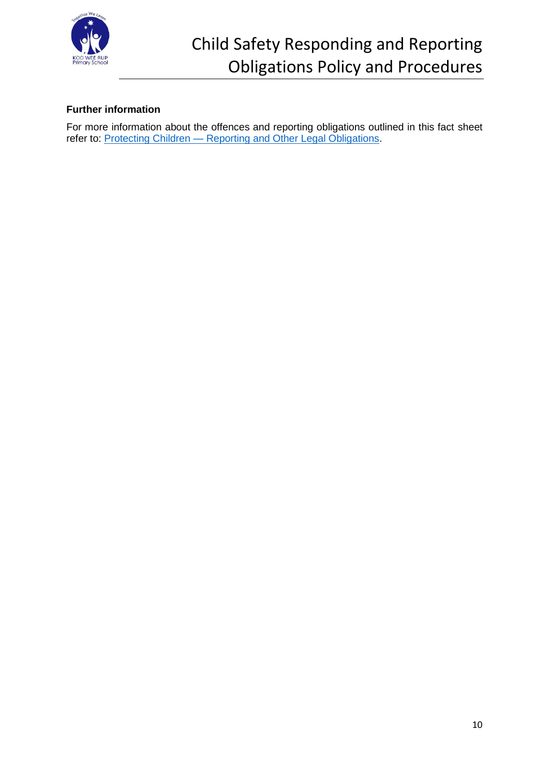

# Child Safety Responding and Reporting Obligations Policy and Procedures

### **Further information**

For more information about the offences and reporting obligations outlined in this fact sheet refer to: Protecting Children — [Reporting and Other Legal Obligations.](https://www2.education.vic.gov.au/pal/protecting-children/policy)